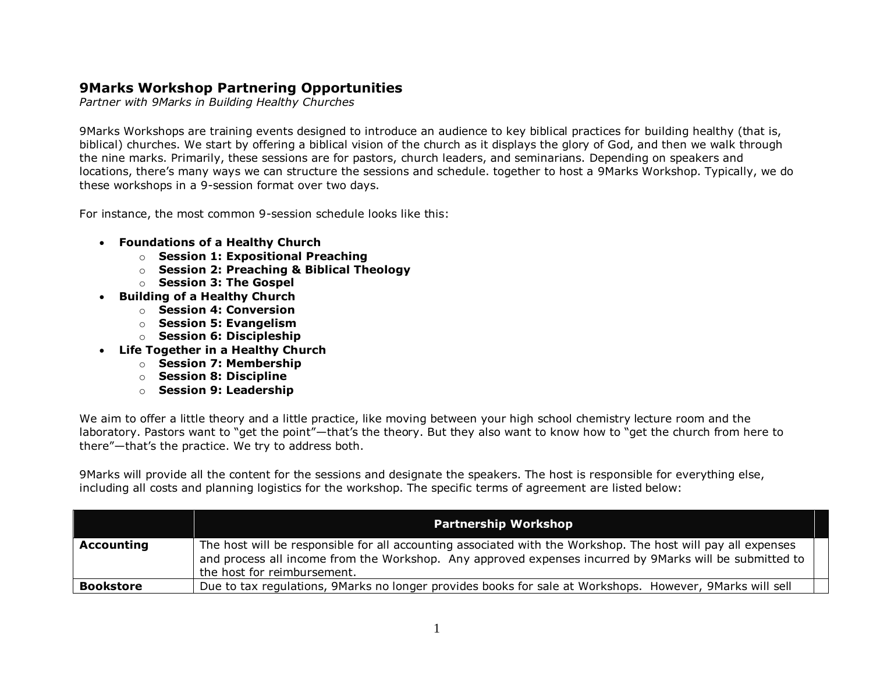## **9Marks Workshop Partnering Opportunities**

*Partner with 9Marks in Building Healthy Churches*

9Marks Workshops are training events designed to introduce an audience to key biblical practices for building healthy (that is, biblical) churches. We start by offering a biblical vision of the church as it displays the glory of God, and then we walk through the nine marks. Primarily, these sessions are for pastors, church leaders, and seminarians. Depending on speakers and locations, there's many ways we can structure the sessions and schedule. together to host a 9Marks Workshop. Typically, we do these workshops in a 9-session format over two days.

For instance, the most common 9-session schedule looks like this:

- **Foundations of a Healthy Church**
	- o **Session 1: Expositional Preaching**
	- o **Session 2: Preaching & Biblical Theology**
	- o **Session 3: The Gospel**
- **Building of a Healthy Church**
	- o **Session 4: Conversion**
	- o **Session 5: Evangelism**
	- o **Session 6: Discipleship**
- **Life Together in a Healthy Church** 
	- o **Session 7: Membership**
	- o **Session 8: Discipline**
	- o **Session 9: Leadership**

We aim to offer a little theory and a little practice, like moving between your high school chemistry lecture room and the laboratory. Pastors want to "get the point"—that's the theory. But they also want to know how to "get the church from here to there"—that's the practice. We try to address both.

9Marks will provide all the content for the sessions and designate the speakers. The host is responsible for everything else, including all costs and planning logistics for the workshop. The specific terms of agreement are listed below:

|                  | <b>Partnership Workshop</b>                                                                                                                                                                                                                            |
|------------------|--------------------------------------------------------------------------------------------------------------------------------------------------------------------------------------------------------------------------------------------------------|
| Accounting       | The host will be responsible for all accounting associated with the Workshop. The host will pay all expenses<br>and process all income from the Workshop. Any approved expenses incurred by 9Marks will be submitted to<br>the host for reimbursement. |
| <b>Bookstore</b> | Due to tax regulations, 9Marks no longer provides books for sale at Workshops. However, 9Marks will sell                                                                                                                                               |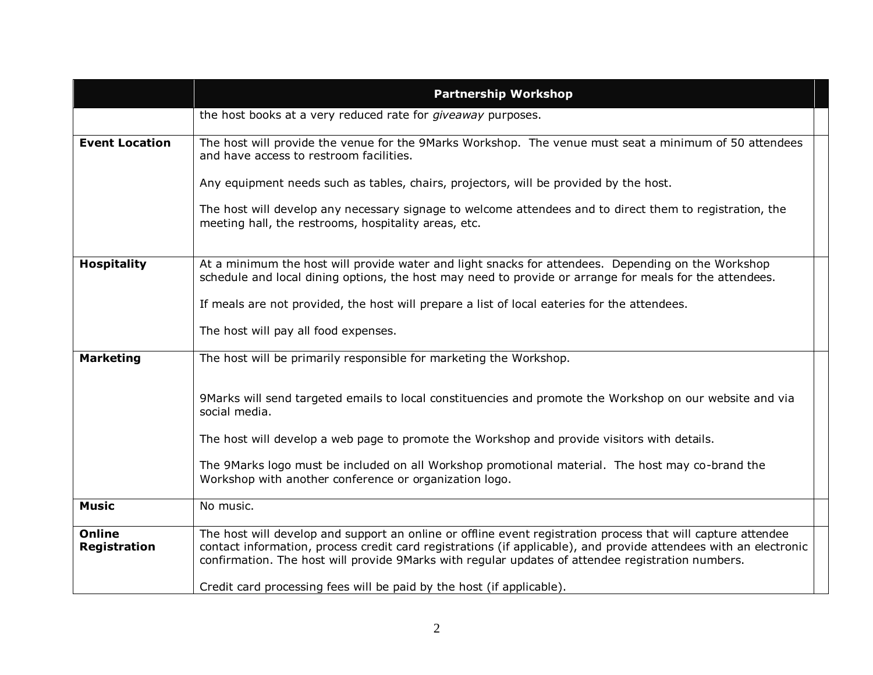|                                      | <b>Partnership Workshop</b>                                                                                                                                                                                                                                                                                                                                                                                    |
|--------------------------------------|----------------------------------------------------------------------------------------------------------------------------------------------------------------------------------------------------------------------------------------------------------------------------------------------------------------------------------------------------------------------------------------------------------------|
|                                      | the host books at a very reduced rate for giveaway purposes.                                                                                                                                                                                                                                                                                                                                                   |
| <b>Event Location</b>                | The host will provide the venue for the 9Marks Workshop. The venue must seat a minimum of 50 attendees<br>and have access to restroom facilities.                                                                                                                                                                                                                                                              |
|                                      | Any equipment needs such as tables, chairs, projectors, will be provided by the host.                                                                                                                                                                                                                                                                                                                          |
|                                      | The host will develop any necessary signage to welcome attendees and to direct them to registration, the<br>meeting hall, the restrooms, hospitality areas, etc.                                                                                                                                                                                                                                               |
| <b>Hospitality</b>                   | At a minimum the host will provide water and light snacks for attendees. Depending on the Workshop                                                                                                                                                                                                                                                                                                             |
|                                      | schedule and local dining options, the host may need to provide or arrange for meals for the attendees.                                                                                                                                                                                                                                                                                                        |
|                                      | If meals are not provided, the host will prepare a list of local eateries for the attendees.                                                                                                                                                                                                                                                                                                                   |
|                                      | The host will pay all food expenses.                                                                                                                                                                                                                                                                                                                                                                           |
| <b>Marketing</b>                     | The host will be primarily responsible for marketing the Workshop.                                                                                                                                                                                                                                                                                                                                             |
|                                      | 9Marks will send targeted emails to local constituencies and promote the Workshop on our website and via<br>social media.                                                                                                                                                                                                                                                                                      |
|                                      | The host will develop a web page to promote the Workshop and provide visitors with details.                                                                                                                                                                                                                                                                                                                    |
|                                      | The 9Marks logo must be included on all Workshop promotional material. The host may co-brand the<br>Workshop with another conference or organization logo.                                                                                                                                                                                                                                                     |
| <b>Music</b>                         | No music.                                                                                                                                                                                                                                                                                                                                                                                                      |
| <b>Online</b><br><b>Registration</b> | The host will develop and support an online or offline event registration process that will capture attendee<br>contact information, process credit card registrations (if applicable), and provide attendees with an electronic<br>confirmation. The host will provide 9Marks with regular updates of attendee registration numbers.<br>Credit card processing fees will be paid by the host (if applicable). |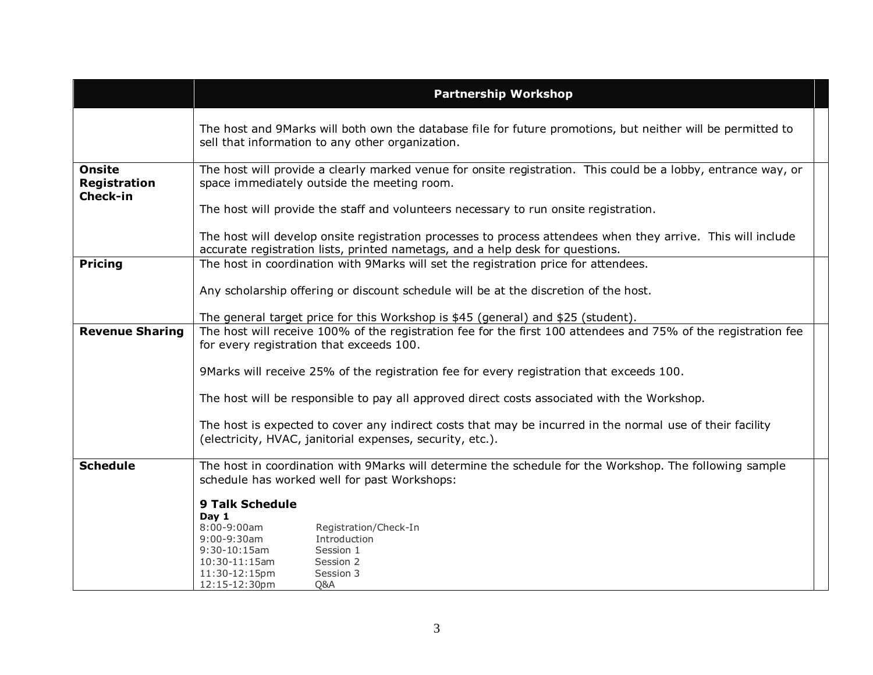| <b>Partnership Workshop</b>                                                                                                                                                                   |                                                                                                                                                                                                                                                                |
|-----------------------------------------------------------------------------------------------------------------------------------------------------------------------------------------------|----------------------------------------------------------------------------------------------------------------------------------------------------------------------------------------------------------------------------------------------------------------|
| The host and 9Marks will both own the database file for future promotions, but neither will be permitted to<br>sell that information to any other organization.                               |                                                                                                                                                                                                                                                                |
| The host will provide a clearly marked venue for onsite registration. This could be a lobby, entrance way, or<br>space immediately outside the meeting room.                                  |                                                                                                                                                                                                                                                                |
| The host will provide the staff and volunteers necessary to run onsite registration.                                                                                                          |                                                                                                                                                                                                                                                                |
| The host will develop onsite registration processes to process attendees when they arrive. This will include<br>accurate registration lists, printed nametags, and a help desk for questions. |                                                                                                                                                                                                                                                                |
| The host in coordination with 9Marks will set the registration price for attendees.                                                                                                           |                                                                                                                                                                                                                                                                |
| Any scholarship offering or discount schedule will be at the discretion of the host.                                                                                                          |                                                                                                                                                                                                                                                                |
| The general target price for this Workshop is \$45 (general) and \$25 (student).                                                                                                              |                                                                                                                                                                                                                                                                |
|                                                                                                                                                                                               |                                                                                                                                                                                                                                                                |
|                                                                                                                                                                                               |                                                                                                                                                                                                                                                                |
| 9Marks will receive 25% of the registration fee for every registration that exceeds 100.                                                                                                      |                                                                                                                                                                                                                                                                |
| The host will be responsible to pay all approved direct costs associated with the Workshop.                                                                                                   |                                                                                                                                                                                                                                                                |
| The host is expected to cover any indirect costs that may be incurred in the normal use of their facility<br>(electricity, HVAC, janitorial expenses, security, etc.).                        |                                                                                                                                                                                                                                                                |
| The host in coordination with 9Marks will determine the schedule for the Workshop. The following sample<br>schedule has worked well for past Workshops:                                       |                                                                                                                                                                                                                                                                |
| <b>9 Talk Schedule</b>                                                                                                                                                                        |                                                                                                                                                                                                                                                                |
| Day 1                                                                                                                                                                                         |                                                                                                                                                                                                                                                                |
| 9:00-9:30am<br>Introduction                                                                                                                                                                   |                                                                                                                                                                                                                                                                |
| $10:30-11:15am$<br>Session 2                                                                                                                                                                  |                                                                                                                                                                                                                                                                |
| 11:30-12:15pm<br>Session 3                                                                                                                                                                    |                                                                                                                                                                                                                                                                |
|                                                                                                                                                                                               | The host will receive 100% of the registration fee for the first 100 attendees and 75% of the registration fee<br>for every registration that exceeds 100.<br>$8:00 - 9:00$ am<br>Registration/Check-In<br>$9:30-10:15am$<br>Session 1<br>12:15-12:30pm<br>Q&A |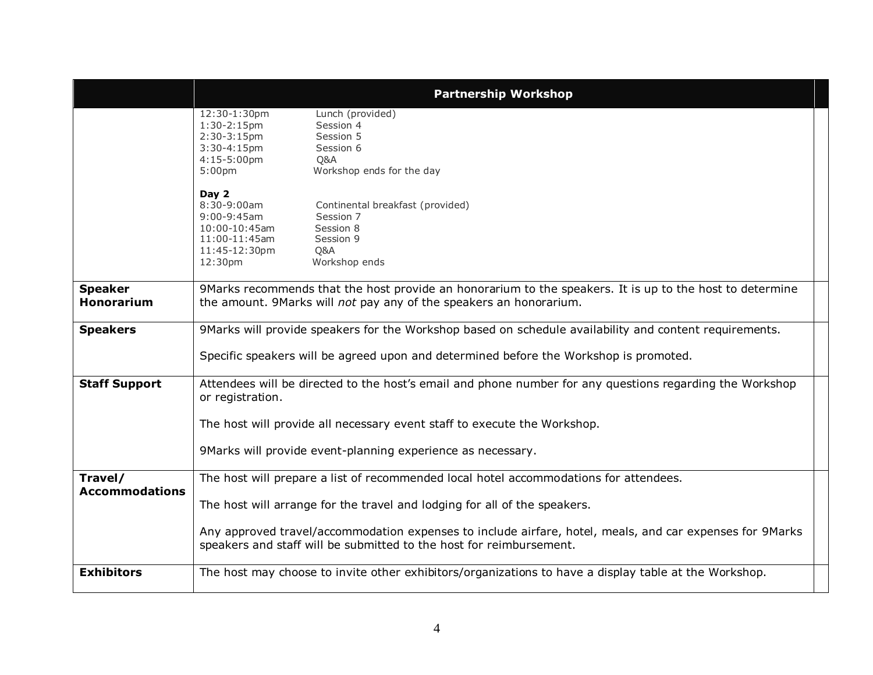|                                     | <b>Partnership Workshop</b>                                                                                                                                                                                                                                                                                                                           |
|-------------------------------------|-------------------------------------------------------------------------------------------------------------------------------------------------------------------------------------------------------------------------------------------------------------------------------------------------------------------------------------------------------|
|                                     | 12:30-1:30pm<br>Lunch (provided)<br>Session 4<br>$1:30-2:15$ pm<br>$2:30-3:15$ pm<br>Session 5<br>$3:30-4:15pm$<br>Session 6<br>4:15-5:00pm<br>Q&A<br>Workshop ends for the day<br>5:00 <sub>pm</sub>                                                                                                                                                 |
|                                     | Day 2<br>8:30-9:00am<br>Continental breakfast (provided)<br>$9:00 - 9:45$ am<br>Session 7<br>Session 8<br>$10:00 - 10:45$ am<br>Session 9<br>$11:00 - 11:45$ am<br>11:45-12:30pm<br>O&A<br>Workshop ends<br>12:30pm                                                                                                                                   |
| <b>Speaker</b><br><b>Honorarium</b> | 9Marks recommends that the host provide an honorarium to the speakers. It is up to the host to determine<br>the amount. 9Marks will not pay any of the speakers an honorarium.                                                                                                                                                                        |
| <b>Speakers</b>                     | 9Marks will provide speakers for the Workshop based on schedule availability and content requirements.<br>Specific speakers will be agreed upon and determined before the Workshop is promoted.                                                                                                                                                       |
| <b>Staff Support</b>                | Attendees will be directed to the host's email and phone number for any questions regarding the Workshop<br>or registration.<br>The host will provide all necessary event staff to execute the Workshop.<br>9Marks will provide event-planning experience as necessary.                                                                               |
| Travel/<br><b>Accommodations</b>    | The host will prepare a list of recommended local hotel accommodations for attendees.<br>The host will arrange for the travel and lodging for all of the speakers.<br>Any approved travel/accommodation expenses to include airfare, hotel, meals, and car expenses for 9Marks<br>speakers and staff will be submitted to the host for reimbursement. |
| <b>Exhibitors</b>                   | The host may choose to invite other exhibitors/organizations to have a display table at the Workshop.                                                                                                                                                                                                                                                 |